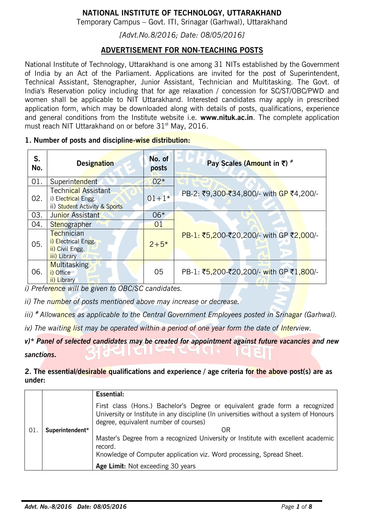## **NATIONAL INSTITUTE OF TECHNOLOGY, UTTARAKHAND**

Temporary Campus – Govt. ITI, Srinagar (Garhwal), Uttarakhand

*[Advt.No.8/2016; Date: 08/05/2016]*

# **ADVERTISEMENT FOR NON-TEACHING POSTS**

National Institute of Technology, Uttarakhand is one among 31 NITs established by the Government of India by an Act of the Parliament. Applications are invited for the post of Superintendent, Technical Assistant, Stenographer, Junior Assistant, Technician and Multitasking. The Govt. of India's Reservation policy including that for age relaxation / concession for SC/ST/OBC/PWD and women shall be applicable to NIT Uttarakhand. Interested candidates may apply in prescribed application form, which may be downloaded along with details of posts, qualifications, experience and general conditions from the Institute website i.e. **www.nituk.ac.in**. The complete application must reach NIT Uttarakhand on or before  $31<sup>st</sup>$  May, 2016.

## **1. Number of posts and discipline-wise distribution:**

| S.<br>No. | <b>Designation</b>                                                                 | No. of<br>posts | Pay Scales (Amount in ₹) #              |
|-----------|------------------------------------------------------------------------------------|-----------------|-----------------------------------------|
| 01.       | Superintendent                                                                     | $02*$           |                                         |
| 02.       | <b>Technical Assistant</b><br>i) Electrical Engg.<br>ii) Student Activity & Sports | $01+1*$         | PB-2: ₹9,300-₹34,800/- with GP ₹4,200/- |
| 03.       | Junior Assistant                                                                   | $06*$           |                                         |
| 04.       | Stenographer                                                                       | 01              |                                         |
| 05.       | Technician<br>i) Electrical Engg.<br>ii) Civil Engg.<br>iii) Library               | $2 + 5*$        | PB-1: ₹5,200-₹20,200/- with GP ₹2,000/- |
| 06.       | Multitasking<br>i) Office<br>ii) Library                                           | 05              | PB-1: ₹5,200-₹20,200/- with GP ₹1,800/- |

*i) Preference will be given to OBC/SC candidates.*

*ii) The number of posts mentioned above may increase or decrease.*

*iii) # Allowances as applicable to the Central Government Employees posted in Srinagar (Garhwal).*

*iv) The waiting list may be operated within a period of one year form the date of Interview.*

*v)\* Panel of selected candidates may be created for appointment against future vacancies and new*

*sanctions.*

## **2. The essential/desirable qualifications and experience / age criteria for the above post(s) are as under:**

|     |                 | Essential:                                                                                                                                                                                                     |
|-----|-----------------|----------------------------------------------------------------------------------------------------------------------------------------------------------------------------------------------------------------|
|     |                 | First class (Hons.) Bachelor's Degree or equivalent grade form a recognized<br>University or Institute in any discipline (In universities without a system of Honours<br>degree, equivalent number of courses) |
| 01. | Superintendent* | 0R                                                                                                                                                                                                             |
|     |                 | Master's Degree from a recognized University or Institute with excellent academic<br>record.                                                                                                                   |
|     |                 | Knowledge of Computer application viz. Word processing, Spread Sheet.                                                                                                                                          |
|     |                 | Age Limit: Not exceeding 30 years                                                                                                                                                                              |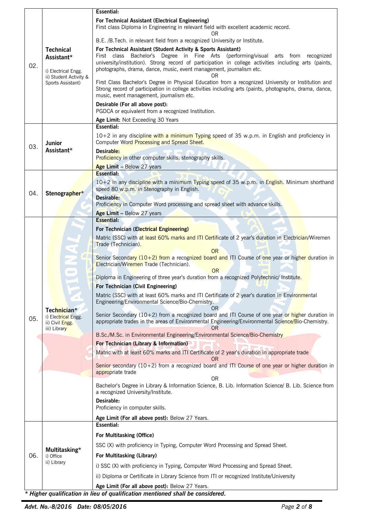|     |                                             | <b>Essential:</b>                                                                                                                            |
|-----|---------------------------------------------|----------------------------------------------------------------------------------------------------------------------------------------------|
|     |                                             | <b>For Technical Assistant (Electrical Engineering)</b>                                                                                      |
|     |                                             | First class Diploma in Engineering in relevant field with excellent academic record.                                                         |
|     |                                             | ΟR<br>B.E. /B. Tech. in relevant field from a recognized University or Institute.                                                            |
|     | <b>Technical</b>                            | For Technical Assistant (Student Activity & Sports Assistant)                                                                                |
|     | Assistant*                                  | First class Bachelor's Degree in Fine Arts (performing/visual arts from<br>recognized                                                        |
| 02. |                                             | university/institution). Strong record of participation in college activities including arts (paints,                                        |
|     | i) Electrical Engg.                         | photographs, drama, dance, music, event management, journalism etc.<br>ΟR                                                                    |
|     | ii) Student Activity &<br>Sports Assistant) | First Class Bachelor's Degree in Physical Education from a recognized University or Institution and                                          |
|     |                                             | Strong record of participation in college activities including arts (paints, photographs, drama, dance,                                      |
|     |                                             | music, event management, journalism etc.                                                                                                     |
|     |                                             | Desirable (For all above post):<br>PGDCA or equivalent from a recognized Institution.                                                        |
|     |                                             | Age Limit: Not Exceeding 30 Years                                                                                                            |
|     |                                             | <b>Essential:</b>                                                                                                                            |
|     |                                             | 10+2 in any discipline with a minimum Typing speed of 35 w.p.m. in English and proficiency in                                                |
| 03. | Junior                                      | Computer Word Processing and Spread Sheet.                                                                                                   |
|     | Assistant*                                  | Desirable:                                                                                                                                   |
|     |                                             | Proficiency in other computer skills, stenography skills.                                                                                    |
|     |                                             | Age Limit - Below 27 years<br><b>Essential:</b>                                                                                              |
|     |                                             | 10+2 in any discipline with a minimum Typing speed of 35 w.p.m. in English. Minimum shorthand                                                |
|     |                                             | speed 80 w.p.m. in Stenography in English.                                                                                                   |
| 04. | Stenographer*                               | Desirable:                                                                                                                                   |
|     |                                             | Proficiency in Computer Word processing and spread sheet with advance skills.                                                                |
|     |                                             | Age Limit - Below 27 years                                                                                                                   |
|     |                                             | <b>Essential:</b>                                                                                                                            |
|     |                                             | <b>For Technician (Electrical Engineering)</b>                                                                                               |
|     |                                             | Matric (SSC) with at least 60% marks and ITI Certificate of 2 year's duration in Electrician/Wiremen<br>Trade (Technician).                  |
|     |                                             | <b>OR</b>                                                                                                                                    |
|     |                                             | Senior Secondary (10+2) from a recognized board and ITI Course of one year or higher duration in                                             |
|     |                                             | Electrician/Wiremen Trade (Technician).<br><b>OR</b>                                                                                         |
|     | <b>COLOR</b>                                | Diploma in Engineering of three year's duration from a recognized Polytechnic/ Institute.                                                    |
|     |                                             | For Technician (Civil Engineering)                                                                                                           |
|     |                                             | Matric (SSC) with at least 60% marks and ITI Certificate of 2 year's duration in Environmental                                               |
|     |                                             | Engineering/Environmental Science/Bio-Chemistry.                                                                                             |
|     | Technician*                                 | Senior Secondary (10+2) from a recognized board and ITI Course of one year or higher duration in                                             |
| 05. | i) Electrical Engg.<br>ii) Civil Engg.      | appropriate trades in the areas of Environmental Engineering/Environmental Science/Bio-Chemistry.                                            |
|     | iii) Library                                | 0R                                                                                                                                           |
|     |                                             | B.Sc./M.Sc. in Environmental Engineering/Environmental Science/Bio-Chemistry                                                                 |
|     |                                             | <b>For Technician (Library &amp; Information)</b>                                                                                            |
|     |                                             | Matric with at least 60% marks and ITI Certificate of 2 year's duration in appropriate trade<br>OR                                           |
|     |                                             | Senior secondary $(10+2)$ from a recognized board and ITI Course of one year or higher duration in                                           |
|     |                                             | appropriate trade                                                                                                                            |
|     |                                             | 0 <sub>R</sub><br>Bachelor's Degree in Library & Information Science, B. Lib. Information Science/ B. Lib. Science from                      |
|     |                                             | a recognized University/Institute.                                                                                                           |
|     |                                             | Desirable:                                                                                                                                   |
|     |                                             | Proficiency in computer skills.                                                                                                              |
|     |                                             | Age Limit (For all above post): Below 27 Years.                                                                                              |
|     |                                             | <b>Essential:</b>                                                                                                                            |
|     |                                             | For Multitasking (Office)                                                                                                                    |
|     |                                             | SSC (X) with proficiency in Typing, Computer Word Processing and Spread Sheet.                                                               |
|     | Multitasking*                               | For Multitasking (Library)                                                                                                                   |
|     | i) Office<br>ii) Library                    | i) SSC (X) with proficiency in Typing, Computer Word Processing and Spread Sheet.                                                            |
| 06. |                                             |                                                                                                                                              |
|     |                                             |                                                                                                                                              |
|     |                                             | ii) Diploma or Certificate in Library Science from ITI or recognized Institute/University<br>Age Limit (For all above post): Below 27 Years. |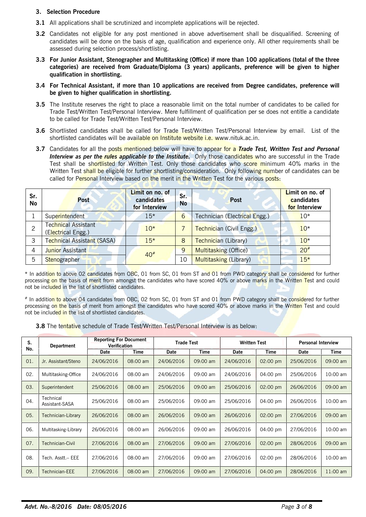#### **3. Selection Procedure**

- **3.1** All applications shall be scrutinized and incomplete applications will be rejected.
- **3.2** Candidates not eligible for any post mentioned in above advertisement shall be disqualified. Screening of candidates will be done on the basis of age, qualification and experience only. All other requirements shall be assessed during selection process/shortlisting.
- **3.3 For Junior Assistant, Stenographer and Multitasking (Office) if more than 100 applications (total of the three categories) are received from Graduate/Diploma (3 years) applicants, preference will be given to higher qualification in shortlisting.**
- **3.4 For Technical Assistant, if more than 10 applications are received from Degree candidates, preference will be given to higher qualification in shortlisting.**
- **3.5** The Institute reserves the right to place a reasonable limit on the total number of candidates to be called for Trade Test/Written Test/Personal Interview. Mere fulfillment of qualification per se does not entitle a candidate to be called for Trade Test/Written Test/Personal Interview.
- **3.6** Shortlisted candidates shall be called for Trade Test/Written Test/Personal Interview by email. List of the shortlisted candidates will be available on Institute website i.e. www.nituk.ac.in.
- **3.7** Candidates for all the posts mentioned below will have to appear for a *Trade Test, Written Test and Personal Interview as per the rules applicable to the Institute.* Only those candidates who are successful in the Trade Test shall be shortlisted for Written Test. Only those candidates who score minimum 40% marks in the Written Test shall be eligible for further shortlisting/consideration. Only following number of candidates can be called for Personal Interview based on the merit in the Written Test for the various posts:

| Sr.<br>No | Post                                      | Limit on no. of<br>candidates<br>for Interview | Sr.<br><b>No</b> | Post                          | Limit on no. of<br>candidates<br>for Interview |
|-----------|-------------------------------------------|------------------------------------------------|------------------|-------------------------------|------------------------------------------------|
|           | Superintendent                            | $15*$                                          | 6                | Technician (Electrical Engg.) | $10*$                                          |
|           | Technical Assistant<br>(Electrical Engg.) | $10*$                                          |                  | Technician (Civil Engg.)      | $10*$                                          |
| 3         | Technical Assistant (SASA)                | $15*$                                          | 8                | Technician (Library)          | $10*$                                          |
| 4         | Junior Assistant                          | $40*$                                          | 9                | <b>Multitasking (Office)</b>  | $20*$                                          |
| 5         | Stenographer                              |                                                | 10               | <b>Multitasking (Library)</b> | $15*$                                          |

\* In addition to above 02 candidates from OBC, 01 from SC, 01 from ST and 01 from PWD category shall be considered for further processing on the basis of merit from amongst the candidates who have scored 40% or above marks in the Written Test and could not be included in the list of shortlisted candidates.

# In addition to above 04 candidates from OBC, 02 from SC, 01 from ST and 01 from PWD category shall be considered for further processing on the basis of merit from amongst the candidates who have scored 40% or above marks in the Written Test and could not be included in the list of shortlisted candidates.

**3.8** The tentative schedule of Trade Test/Written Test/Personal Interview is as below:

| S.  | <b>Department</b>           | <b>Reporting For Document</b><br><b>Verification</b> |          | <b>Trade Test</b> |          | <b>Written Test</b> |            | <b>Personal Interview</b> |            |
|-----|-----------------------------|------------------------------------------------------|----------|-------------------|----------|---------------------|------------|---------------------------|------------|
| No. |                             | Date                                                 | Time     | Date              | Time     | Date                | Time       | <b>Date</b>               | Time       |
| 01. | Jr. Assistant/Steno         | 24/06/2016                                           | 08:00 am | 24/06/2016        | 09:00 am | 24/06/2016          | 02:00 pm   | 25/06/2016                | 09:00 am   |
| 02. | Multitasking-Office         | 24/06/2016                                           | 08:00 am | 24/06/2016        | 09:00 am | 24/06/2016          | $04:00$ pm | 25/06/2016                | $10:00$ am |
| 03. | Superintendent              | 25/06/2016                                           | 08:00 am | 25/06/2016        | 09:00 am | 25/06/2016          | 02:00 pm   | 26/06/2016                | 09:00 am   |
| 04. | Technical<br>Assistant-SASA | 25/06/2016                                           | 08:00 am | 25/06/2016        | 09:00 am | 25/06/2016          | 04:00 pm   | 26/06/2016                | $10:00$ am |
| 05. | Technician-Library          | 26/06/2016                                           | 08:00 am | 26/06/2016        | 09:00 am | 26/06/2016          | 02:00 pm   | 27/06/2016                | 09:00 am   |
| 06. | Multitasking-Library        | 26/06/2016                                           | 08:00 am | 26/06/2016        | 09:00 am | 26/06/2016          | 04:00 pm   | 27/06/2016                | $10:00$ am |
| 07. | Technician-Civil            | 27/06/2016                                           | 08:00 am | 27/06/2016        | 09:00 am | 27/06/2016          | 02:00 pm   | 28/06/2016                | 09:00 am   |
| 08. | Гесh. Asstt.– EEE           | 27/06/2016                                           | 08:00 am | 27/06/2016        | 09:00 am | 27/06/2016          | 02:00 pm   | 28/06/2016                | $10:00$ am |
| 09. | Technician-EEE              | 27/06/2016                                           | 08:00 am | 27/06/2016        | 09:00 am | 27/06/2016          | 04:00 pm   | 28/06/2016                | $11:00$ am |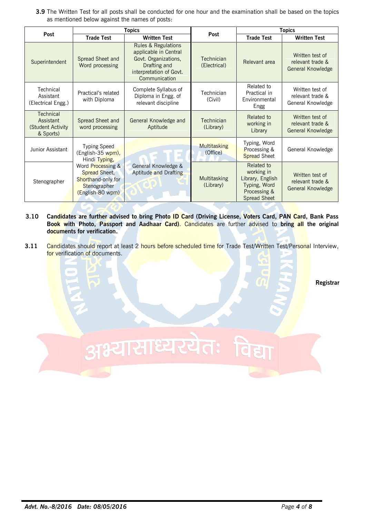**3.9** The Written Test for all posts shall be conducted for one hour and the examination shall be based on the topics as mentioned below against the names of posts:

| Post                                                     |                                                                                              | <b>Topics</b>                                                                                                                               | Post                       | <b>Topics</b>                                                                                       |                                                          |  |  |
|----------------------------------------------------------|----------------------------------------------------------------------------------------------|---------------------------------------------------------------------------------------------------------------------------------------------|----------------------------|-----------------------------------------------------------------------------------------------------|----------------------------------------------------------|--|--|
|                                                          | <b>Trade Test</b>                                                                            | <b>Written Test</b>                                                                                                                         |                            | <b>Trade Test</b>                                                                                   | <b>Written Test</b>                                      |  |  |
| Superintendent                                           | Spread Sheet and<br>Word processing                                                          | <b>Rules &amp; Regulations</b><br>applicable in Central<br>Govt. Organizations,<br>Drafting and<br>interpretation of Govt.<br>Communication | Technician<br>(Electrical) | Relevant area                                                                                       | Written test of<br>relevant trade &<br>General Knowledge |  |  |
| Technical<br>Assistant<br>(Electrical Engg.)             | Practical's related<br>with Diploma                                                          | Complete Syllabus of<br>Diploma in Engg. of<br>relevant discipline                                                                          | Technician<br>(Civil)      | Related to<br>Practical in<br>Environmental<br>Engg                                                 | Written test of<br>relevant trade &<br>General Knowledge |  |  |
| Technical<br>Assistant<br>(Student Activity<br>& Sports) | Spread Sheet and<br>word processing                                                          | General Knowledge and<br>Aptitude                                                                                                           | Technician<br>(Library)    | Related to<br>working in<br>Library                                                                 | Written test of<br>relevant trade &<br>General Knowledge |  |  |
| Junior Assistant                                         | <b>Typing Speed</b><br>(English-35 wpm),<br>Hindi Typing,                                    |                                                                                                                                             | Multitasking<br>(Office)   | Typing, Word<br>Processing &<br><b>Spread Sheet</b>                                                 | General Knowledge                                        |  |  |
| Stenographer                                             | Word Processing &<br>Spread Sheet,<br>Shorthand-only for<br>Stenographer<br>(English-80 wpm) | General Knowledge &<br>Aptitude and Drafting                                                                                                | Multitasking<br>(Library)  | Related to<br>working in<br>Library, English<br>Typing, Word<br>Processing &<br><b>Spread Sheet</b> | Written test of<br>relevant trade &<br>General Knowledge |  |  |

- **3.10 Candidates are further advised to bring Photo ID Card (Driving License, Voters Card, PAN Card, Bank Pass Book with Photo, Passport and Aadhaar Card)**. Candidates are further advised to **bring all the original documents for verification.**
- **3.11** Candidates should report at least 2 hours before scheduled time for Trade Test/Written Test/Personal Interview, for verification of documents.

अभ्यासाध्यरयतः

**Registrar**

*Advt. No.-8/2016 Date: 08/05/2016 Page 4 of 8*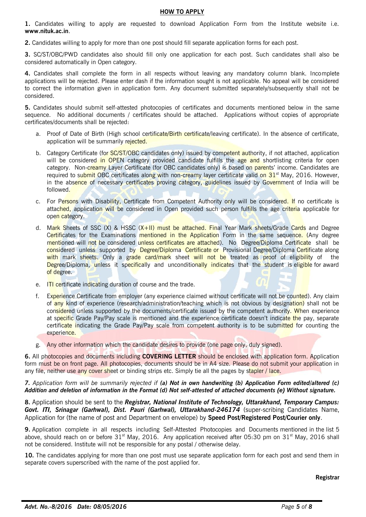#### **HOW TO APPLY**

**1.** Candidates willing to apply are requested to download Application Form from the Institute website i.e. **www.nituk.ac.in**.

**2.** Candidates willing to apply for more than one post should fill separate application forms for each post.

**3.** SC/ST/OBC/PWD candidates also should fill only one application for each post. Such candidates shall also be considered automatically in Open category.

**4.** Candidates shall complete the form in all respects without leaving any mandatory column blank. Incomplete applications will be rejected. Please enter dash if the information sought is not applicable. No appeal will be considered to correct the information given in application form. Any document submitted separately/subsequently shall not be considered.

**5.** Candidates should submit self-attested photocopies of certificates and documents mentioned below in the same sequence. No additional documents / certificates should be attached. Applications without copies of appropriate certificates/documents shall be rejected:

- a. Proof of Date of Birth (High school certificate/Birth certificate/leaving certificate). In the absence of certificate, application will be summarily rejected.
- b. Category Certificate (for SC/ST/OBC candidates only) issued by competent authority, if not attached, application will be considered in OPEN category provided candidate fulfills the age and shortlisting criteria for open category. Non-creamy Layer Certificate (for OBC candidates only) is based on parents' income. Candidates are required to submit OBC certificates along with non-creamy layer certificate valid on  $31<sup>st</sup>$  May, 2016. However, in the absence of necessary certificates proving category, guidelines issued by Government of India will be followed.
- c. For Persons with Disability, Certificate from Competent Authority only will be considered. If no certificate is attached, application will be considered in Open provided such person fulfills the age criteria applicable for open category.
- d. Mark Sheets of SSC (X) & HSSC (X+II) must be attached. Final Year Mark sheets/Grade Cards and Degree Certificates for the Examinations mentioned in the Application Form in the same sequence. (Any degree mentioned will not be considered unless certificates are attached). No Degree/Diploma Certificate shall be considered unless supported by Degree/Diploma Certificate or Provisional Degree/Diploma Certificate along with mark sheets. Only a grade card/mark sheet will not be treated as proof of eligibility of the Degree/Diploma, unless it specifically and unconditionally indicates that the student is eligible for award of degree.
- e. ITI certificate indicating duration of course and the trade.
- f. Experience Certificate from employer (any experience claimed without certificate will not be counted). Any claim of any kind of experience (research/administration/teaching which is not obvious by designation) shall not be considered unless supported by the documents/certificate issued by the competent authority. When experience at specific Grade Pay/Pay scale is mentioned and the experience certificate doesn't indicate the pay, separate certificate indicating the Grade Pay/Pay scale from competent authority is to be submitted for counting the experience.
- g. Any other information which the candidate desires to provide (one page only, duly signed).

**6.** All photocopies and documents including **COVERING LETTER** should be enclosed with application form. Application form must be on front page. All photocopies, documents should be in A4 size. Please do not submit your application in any file, neither use any cover sheet or binding strips etc. Simply tie all the pages by stapler / lace.

*7. Application form will be summarily rejected if (a) Not in own handwriting (b) Application Form edited/altered (c) Addition and deletion of information in the Format (d) Not self-attested of attached documents (e) Without signature.*

**8.** Application should be sent to the *Registrar, National Institute of Technology, Uttarakhand, Temporary Campus: Govt. ITI, Srinagar (Garhwal), Dist. Pauri (Garhwal), Uttarakhand-246174* (super-scribing Candidates Name, Application for (the name of post and Department on envelope) by **Speed Post/Registered Post/Courier only**.

**9.** Application complete in all respects including Self-Attested Photocopies and Documents mentioned in the list 5 above, should reach on or before 31<sup>st</sup> May, 2016. Any application received after 05:30 pm on 31<sup>st</sup> May, 2016 shall not be considered. Institute will not be responsible for any postal / otherwise delay.

**10.** The candidates applying for more than one post must use separate application form for each post and send them in separate covers superscribed with the name of the post applied for.

#### **Registrar**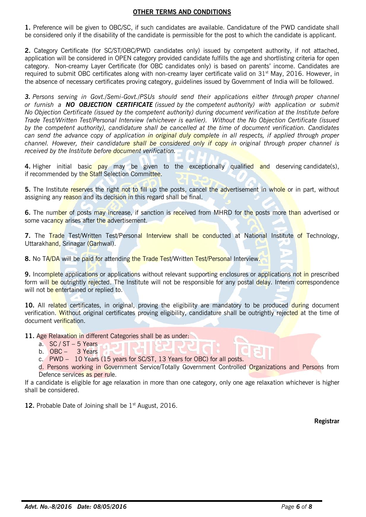#### **OTHER TERMS AND CONDITIONS**

**1.** Preference will be given to OBC/SC, if such candidates are available. Candidature of the PWD candidate shall be considered only if the disability of the candidate is permissible for the post to which the candidate is applicant.

**2.** Category Certificate (for SC/ST/OBC/PWD candidates only) issued by competent authority, if not attached, application will be considered in OPEN category provided candidate fulfills the age and shortlisting criteria for open category. Non-creamy Layer Certificate (for OBC candidates only) is based on parents' income. Candidates are required to submit OBC certificates along with non-creamy layer certificate valid on 31<sup>st</sup> May, 2016. However, in the absence of necessary certificates proving category, guidelines issued by Government of India will be followed.

*3. Persons serving in Govt./Semi-Govt./PSUs should send their applications either through proper channel or furnish a NO OBJECTION CERTIFICATE (issued by the competent authority) with application or submit No Objection Certificate (issued by the competent authority) during document verification at the Institute before Trade Test/Written Test/Personal Interview (whichever is earlier). Without the No Objection Certificate (issued by the competent authority), candidature shall be cancelled at the time of document verification. Candidates can send the advance copy of application in original duly complete in all respects, if applied through proper channel. However, their candidature shall be considered only if copy in original through proper channel is received by the Institute before document verification.*

**4.** Higher initial basic pay may be given to the exceptionally qualified and deserving candidate(s), if recommended by the Staff Selection Committee.

**5.** The Institute reserves the right not to fill up the posts, cancel the advertisement in whole or in part, without assigning any reason and its decision in this regard shall be final.

**6.** The number of posts may increase, if sanction is received from MHRD for the posts more than advertised or some vacancy arises after the advertisement.

**7.** The Trade Test/Written Test/Personal Interview shall be conducted at National Institute of Technology, Uttarakhand, Srinagar (Garhwal).

**8.** No TA/DA will be paid for attending the Trade Test/Written Test/Personal Interview.

**9.** Incomplete applications or applications without relevant supporting enclosures or applications not in prescribed form will be outrightly rejected. The Institute will not be responsible for any postal delay. Interim correspondence will not be entertained or replied to.

10. All related certificates, in original, proving the eligibility are mandatory to be produced during document verification. Without original certificates proving eligibility, candidature shall be outrightly rejected at the time of document verification.

**11.** Age Relaxation in different Categories shall be as under:

- a.  $SC / ST 5$  Years
- b. OBC 3 Years

c. PWD – 10 Years (15 years for SC/ST, 13 Years for OBC) for all posts.

d. Persons working in Government Service/Totally Government Controlled Organizations and Persons from Defence services as per rule.

If a candidate is eligible for age relaxation in more than one category, only one age relaxation whichever is higher shall be considered.

12. Probable Date of Joining shall be 1<sup>st</sup> August, 2016.

**Registrar**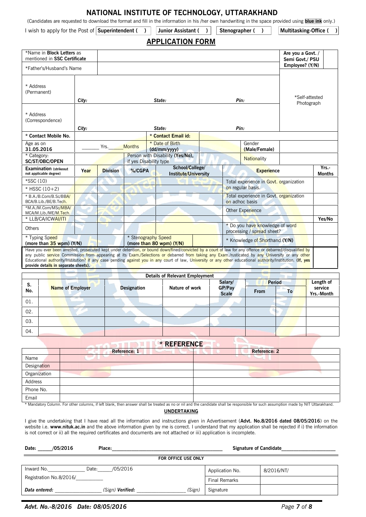## **NATIONAL INSTITUTE OF TECHNOLOGY, UTTARAKHAND**

(Candidates are requested to download the format and fill in the information in his /her own handwriting in the space provided using **blue ink** only.)

I wish to apply for the Post of **Superintendent ( ) Junior Assistant ( ) Stenographer ( ) Multitasking-Office ( )**

## **APPLICATION FORM**

| *Name in <b>Block Letters</b> as<br>mentioned in SSC Certificate                                                                                                                                                                                                                                                                                                                                                                                                                                                   |       |                 |                                                 |                                         |  |      |                                                               | Are you a Govt. /<br>Semi Govt./ PSU |                        |
|--------------------------------------------------------------------------------------------------------------------------------------------------------------------------------------------------------------------------------------------------------------------------------------------------------------------------------------------------------------------------------------------------------------------------------------------------------------------------------------------------------------------|-------|-----------------|-------------------------------------------------|-----------------------------------------|--|------|---------------------------------------------------------------|--------------------------------------|------------------------|
| *Father's/Husband's Name                                                                                                                                                                                                                                                                                                                                                                                                                                                                                           |       |                 |                                                 |                                         |  |      | Employee? (Y/N)                                               |                                      |                        |
| * Address<br>(Permanent)                                                                                                                                                                                                                                                                                                                                                                                                                                                                                           | City: |                 | State:                                          |                                         |  | Pin: |                                                               | *Self-attested<br>Photograph         |                        |
| * Address<br>(Correspondence)                                                                                                                                                                                                                                                                                                                                                                                                                                                                                      | City: | State:<br>Pin:  |                                                 |                                         |  |      |                                                               |                                      |                        |
| * Contact Mobile No.                                                                                                                                                                                                                                                                                                                                                                                                                                                                                               |       |                 |                                                 | * Contact Email id:                     |  |      |                                                               |                                      |                        |
| Age as on<br>31.05.2016                                                                                                                                                                                                                                                                                                                                                                                                                                                                                            |       | Yrs.            | <b>Months</b>                                   | * Date of Birth<br>(dd/mm/vyyy)         |  |      | Gender<br>(Male/Female)                                       |                                      |                        |
| * Category:<br><b>SC/ST/OBC/OPEN</b>                                                                                                                                                                                                                                                                                                                                                                                                                                                                               |       |                 | if yes Disability type                          | Person with Disability (Yes/No),        |  |      | <b>Nationality</b>                                            |                                      |                        |
| <b>Examination (strikeout)</b><br>not applicable degree)                                                                                                                                                                                                                                                                                                                                                                                                                                                           | Year  | <b>Division</b> | %/CGPA                                          | School/College/<br>Institute/University |  |      | <b>Experience</b>                                             |                                      | Yrs.-<br><b>Months</b> |
| *SSC (10)                                                                                                                                                                                                                                                                                                                                                                                                                                                                                                          |       |                 |                                                 |                                         |  |      | Total experience in Govt. organization                        |                                      |                        |
| * HSSC $(10+2)$                                                                                                                                                                                                                                                                                                                                                                                                                                                                                                    |       |                 |                                                 |                                         |  |      | on regular basis.                                             |                                      |                        |
| * B.A./B.Com/B.Sc/BBA/<br>BCA/B.Lib./BE/B.Tech.                                                                                                                                                                                                                                                                                                                                                                                                                                                                    |       |                 |                                                 |                                         |  |      | Total experience in Govt. organization<br>on adhoc basis      |                                      |                        |
| *M.A./M.Com/MSc/MBA/<br>MCA/M.Lib./ME/M.Tech.                                                                                                                                                                                                                                                                                                                                                                                                                                                                      |       |                 |                                                 |                                         |  |      | Other Experience                                              |                                      |                        |
| * LLB/CA/ICWAI/ITI                                                                                                                                                                                                                                                                                                                                                                                                                                                                                                 |       |                 |                                                 |                                         |  |      |                                                               |                                      | Yes/No                 |
| Others                                                                                                                                                                                                                                                                                                                                                                                                                                                                                                             |       |                 |                                                 |                                         |  |      | * Do you have knowledge of word<br>processing / spread sheet? |                                      |                        |
| * Typing Speed<br>(more than $35$ wpm) $(Y/N)$                                                                                                                                                                                                                                                                                                                                                                                                                                                                     |       |                 | * Stenography Speed<br>(more than 80 wpm) (Y/N) |                                         |  |      | * Knowledge of Shorthand (Y/N)                                |                                      |                        |
| Have you ever been arrested, prosecuted kept under detention, or bound down/fined/convicted by a court of law for any offence or debarred/disqualified by<br>any public service Commission from appearing at its Exam/Selections or debarred from taking any Exam/rusticated by any University or any other<br>Educational authority/Institution? If any case pending against you in any court of law, University or any other educational authority/Institution. (If, yes<br>provide details in separate sheets). |       |                 |                                                 |                                         |  |      |                                                               |                                      |                        |

|           |                         |                    | <b>Details of Relevant Employment</b> |                                   |                              |    |                                    |
|-----------|-------------------------|--------------------|---------------------------------------|-----------------------------------|------------------------------|----|------------------------------------|
| S.<br>No. | <b>Name of Employer</b> | <b>Designation</b> | Nature of work                        | Salary/<br>GP/Pay<br><b>Scale</b> | <b>Period</b><br><b>From</b> | To | Length of<br>service<br>Yrs.-Month |
| 01.       |                         |                    |                                       | $25 - 1$                          |                              |    |                                    |
| 02.       |                         |                    |                                       |                                   |                              |    |                                    |
| 03.       |                         |                    |                                       |                                   |                              |    |                                    |
| 04.       |                         |                    |                                       |                                   |                              |    |                                    |

#### **\* REFERENCE**

 $\sim$ 

|              | Reference: 1 | <b>Reference: 2</b> |
|--------------|--------------|---------------------|
| Name         |              |                     |
| Designation  |              |                     |
| Organization |              |                     |
| Address      |              |                     |
| Phone No.    |              |                     |
| Email        |              |                     |

\* Mandatory Column. For other columns, if left blank, then answer shall be treated as no or nil and the candidate shall be responsible for such assumption made by NIT Uttarakhand. **UNDERTAKING**

I give the undertaking that I have read all the information and instructions given in Advertisement (**Advt. No.8/2016 dated 08/05/2016**) on the website i.e. **www.nituk.ac.in** and the above information given by me is correct. I understand that my application shall be rejected if i) the information is not correct or ii) all the required certificates and documents are not attached or iii) application is incomplete.

| /05/2016<br>Date:       | Place:                  | <b>Signature of Candidate</b> |                      |            |  |  |
|-------------------------|-------------------------|-------------------------------|----------------------|------------|--|--|
|                         |                         | FOR OFFICE USE ONLY           |                      |            |  |  |
| Inward No.              | /05/2016<br>Date:       |                               | Application No.      | 8/2016/NT/ |  |  |
| Registration No.8/2016/ |                         |                               | <b>Final Remarks</b> |            |  |  |
| Data entered:           | (Sign) <b>Verified:</b> | (Sign)                        | Signature            |            |  |  |

#### *Advt. No.-8/2016 Date: 08/05/2016 Page 7 of 8*